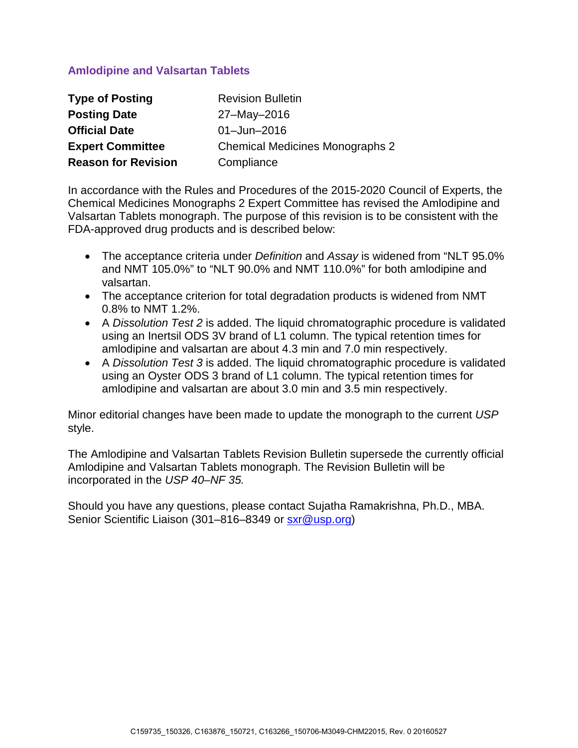# **Amlodipine and Valsartan Tablets**

| <b>Type of Posting</b>     | <b>Revision Bulletin</b>               |
|----------------------------|----------------------------------------|
| <b>Posting Date</b>        | 27-May-2016                            |
| <b>Official Date</b>       | $01 -$ Jun $-2016$                     |
| <b>Expert Committee</b>    | <b>Chemical Medicines Monographs 2</b> |
| <b>Reason for Revision</b> | Compliance                             |

In accordance with the Rules and Procedures of the 2015-2020 Council of Experts, the Chemical Medicines Monographs 2 Expert Committee has revised the Amlodipine and Valsartan Tablets monograph. The purpose of this revision is to be consistent with the FDA-approved drug products and is described below:

- The acceptance criteria under *Definition* and *Assay* is widened from "NLT 95.0% and NMT 105.0%" to "NLT 90.0% and NMT 110.0%" for both amlodipine and valsartan.
- The acceptance criterion for total degradation products is widened from NMT 0.8% to NMT 1.2%.
- A *Dissolution Test 2* is added. The liquid chromatographic procedure is validated using an Inertsil ODS 3V brand of L1 column. The typical retention times for amlodipine and valsartan are about 4.3 min and 7.0 min respectively.
- A *Dissolution Test 3* is added. The liquid chromatographic procedure is validated using an Oyster ODS 3 brand of L1 column. The typical retention times for amlodipine and valsartan are about 3.0 min and 3.5 min respectively.

Minor editorial changes have been made to update the monograph to the current *USP* style.

The Amlodipine and Valsartan Tablets Revision Bulletin supersede the currently official Amlodipine and Valsartan Tablets monograph. The Revision Bulletin will be incorporated in the *USP 40–NF 35.* 

Should you have any questions, please contact Sujatha Ramakrishna, Ph.D., MBA. Senior Scientific Liaison (301–816–8349 or [sxr@usp.org\)](mailto:sxr@usp.org)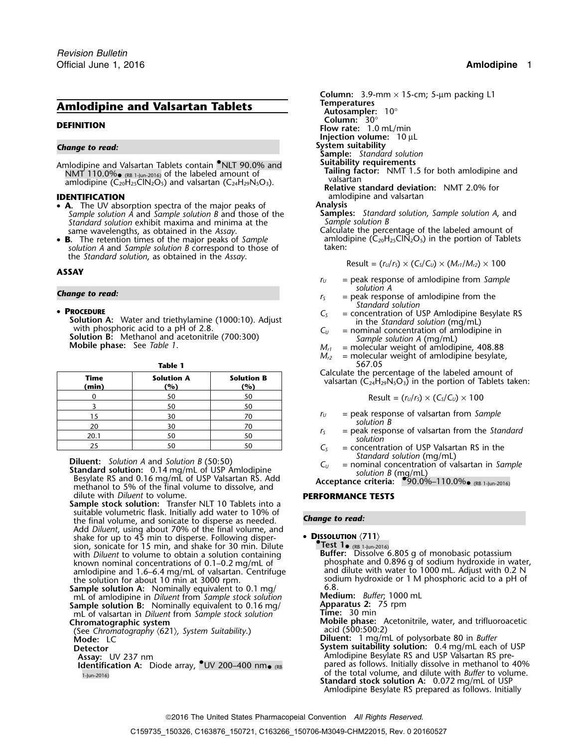# **Amlodipine and Valsartan Tablets Amlodipine and Valsartan Tablets Autosampler:** 10°

- **<sup>A</sup>.** The UV absorption spectra of the major peaks of **Analysis** *Sample solution A* and *Sample solution B* and those of the **Samples:** *Standard solution*, *Sample solution A*, and *Standard solution* exhibit maxima and minima at the *Sample solution B*
- **B.** The retention times of the major peaks of *Sample* amlodipine (C<sub>20</sub>H<sub>25</sub>ClN<sub>2</sub>O<sub>5</sub>) in the portion of Tablets solution A and *Sample solution B* correspond to those of taken:  $$

## **ASSAY**

## • PROCEDURE

• **PROCEDURE**<br>
Solution A: Water and triethylamine (1000:10). Adjust<br>
with phosphoric acid to a pH of 2.8.<br>
Solution B: Methanol and acetonitrile (700:300)<br>
Mobile phase: See Table 1.<br>
Mobile phase: See Table 1.<br>
Mobile p

| Calculate the percentage of the labeled am<br>valsartan ( $C_{24}H_{29}N_5O_3$ ) in the portion of T | <b>Solution B</b><br>(%) | <b>Solution A</b><br>(%) | Time<br>(min) |
|------------------------------------------------------------------------------------------------------|--------------------------|--------------------------|---------------|
| Result = $(r_U/r_S) \times (C_S/C_U) \times 100$                                                     |                          | 50                       |               |
|                                                                                                      |                          | 50                       |               |
| $=$ peak response of valsartan from Sq                                                               |                          | 30                       |               |
| solution B                                                                                           |                          | 30                       | 20            |
| = peak response of valsartan from the<br>solution                                                    | 50                       | 50                       | 20.1          |
| $=$ concentration of LISD Valsartan RS                                                               |                          |                          |               |

**Diluent:** Solution A and Solution B (50:50)<br> **Standard solution:** 0.14 mg/mL of USP Amlodipine<br>
Besylate RS and 0.16 mg/mL of USP Valsartan RS. Add<br>
mathanal to 50% of the final volume to discolve and<br>
mathanal to 50% of methanol to 5% of the final volume to dissolve, and dilute with *Diluent* to volume. **PERFORMANCE TESTS**

**Sample stock solution:** Transfer NLT 10 Tablets into a suitable volumetric flask. Initially add water to 10% of **change to read:**<br>the final volume, and sonicate to disperse as needed. **Change to read:** Add *Diluent*, using about 70% of the final volume, and shake for up to 45 min to disperse. Following disper- • **DISSOLUTION**  $\langle 711 \rangle$ sion, sonicate for 15 min, and shake for 30 min. Dilute with *Diluent* to volume to obtain a solution containing sion, sonicate for 15 min, and shake for 30 min. Dilute<br>with *Diluent* to volume to obtain a solution containing **Buffer:** Dissolve 6.805 g of monobasic potassium<br>known nominal concentrations of 0.1–0.2 mg/mL of phosphate amlodipine and 1.6–6.4 mg/mL of valsartan. Centrifuge the solution for about 10 min at 3000 rpm.

**Sample solution A:** Nominally equivalent to 0.1 mg/ mL of amlodipine in *Diluent* from *Sample stock solution* **Medium:** *Buffer*; 1000 mL **Sample solution B:** Nominally equivalent to 0.16 mg/ **Apparatus 2:** 75 rpm<br>mL of valsartan in *Diluent* from *Sample stock solution* **Time:** 30 min mL of valsartan in *Diluent* from *Sample stock solution*<br>Chromatographic system

(See Chromatography  $\langle 621 \rangle$ , System Suitability.)<br>Mode: LC

*.* **Column:** 3.9-mm × 15-cm; 5-µm packing L1 **Column:** 30° **DEFINITION Flow rate:** 1.0 mL/min **Injection volume:** 10 µL *Change to read:* **System suitability Sample:** *Standard solution* **Suitability requirements**<br>NMT 110.0% as use and of the labeled amount of and **Suitability requirements**<br>NMT 110.0% as usery of the labeled amount of NMT 110.0% **REGITER 10.0% Tailing factor:** NMT 1.5 for both amlodipine and<br>1998 **of the labeled amount of valisartan amount amount amount amount amount amount amount amount amount amount d<br>1998 <b>Relative standard deviati IDENTIFICATION** amlodipine and valsartan<br>• **A** The UV absorption spectra of the major peaks of **Analysis Analysis** 

same wavelengths, as obtained in the *Assay*.<br> **B.** The retention times of the major peaks of *Sample* amodipine (C<sub>20</sub>H<sub>25</sub>CIN<sub>2</sub>O<sub>5</sub>) in the portion of Tablets

$$
Result = (r_U/r_S) \times (C_S/C_U) \times (M_{r1}/M_{r2}) \times 100
$$

- *<sup>r</sup><sup>U</sup>* = peak response of amlodipine from *Sample*
- **Change to read:** *r***<sub>S</sub>**  $r_S$  = peak response of amlodipine from the solution A *Standard solution*
	-
	-
	-
	- $M_{r2}$  = molecular weight of amlodipine besylate, **Table 1** 567.05

Calculate the percentage of the labeled amount of **valsartan (C<sub>24</sub>H<sub>29</sub>N<sub>5</sub>O<sub>3</sub>)** in the portion of Tablets taken:

$$
Result = (r_U/r_S) \times (C_S/C_U) \times 100
$$

- $r_U$  = peak response of valsartan from *Sample*<br>  $r_S$  = peak response of valsartan from the *Sta*
- *<sup>r</sup><sup>S</sup>* = peak response of valsartan from the *Standard*
- $C<sub>S</sub>$  = concentration of USP Valsartan RS in the *Standard solution* (mg/mL)
- 

phosphate and  $0.896$  g of sodium hydroxide in water, and dilute with water to 1000 mL. Adjust with 0.2 N sodium hydroxide or 1 M phosphoric acid to a pH of 6.8.

**Mobile phase:** Acetonitrile, water, and trifluoroacetic acid (500:500:2)

**Diluent:** 1 mg/mL of polysorbate 80 in *Buffer* **Detector System suitability solution:** 0.4 mg/mL each of USP **Assay:** UV 237 nm **Amlodipine Besylate RS and USP Valsartan RS pre-** Amlodipine Besylate RS and USP Valsartan RS pre-**Identification A:** Diode array,  $\bullet$  UV 200–400 nm  $\bullet$  (RB b) result as follows. Initially dissolve in methanol to 40% of the total volume, and dilute with *Buffer* to volume. 1-Jun-2016) **Standard stock solution A:** 0.072 mg/mL of USP

Amlodipine Besylate RS prepared as follows. Initially

2016 The United States Pharmacopeial Convention *All Rights Reserved.*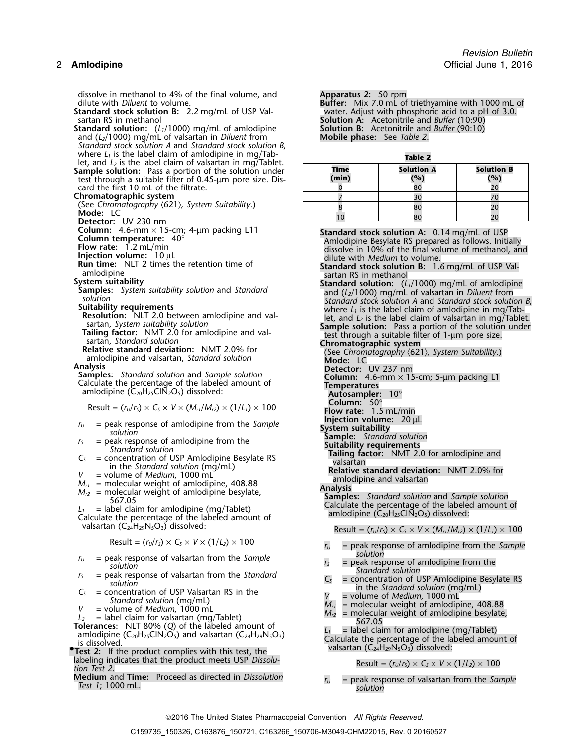dissolve in methanol to 4% of the final volume, and dilute with *Diluent* to volume.

**Standard stock solution B:** 2.2 mg/mL of USP Val-<br>sartan RS in methanol

**Standard solution:** (*L*<sub>1</sub>/1000) mg/mL of amlodipine **Solution B:** Acetonitrile and (*L*<sub>2</sub>/1000) mg/mL of valsartan in *Diluent* from **Mobile phase:** See Table 2. and (*L*<sub>2</sub>/1000) mg/mL of valsartan in *Diluent* from *Standard stock solution A* and *Standard stock solution B*, where *L*<sub>1</sub> is the label claim of amlodipine in mg/Tab-<br>let, and *L<sub>2</sub>* is the label claim of valsartan in mg/Tablet.

**Sample solution:** Pass a portion of the solution under **(min) (%) (%)** test through a suitable filter of 0.45-µm pore size. Discard the first 10 mL of the filtrate.

## **Chromatographic system**

(See *Chromatography*  $\langle 621 \rangle$ *, System Suitability.)*<br> **Mode:** LC<br> **Detector:** UV 230 nm<br> **Column:** 4.6-mm × 15-cm; 4-µm packing L11<br> **Column temperature:** 40°

- 
- 

- 
- 
- 
- 

$$
M_{r1}
$$
 = molecular weight of amlodipine, 408.88

- 
- 
- 
- 
- 
- 
- **•** valsartan (C24H29N5O3) dissolved: **.Test 2:** If the product complies with this test, the
- labeling indicates that the product meets USP *Dissolu*-<br> *tion Test 2*.

**Medium** and **Time:** Proceed as directed in *Dissolution <sup>r</sup><sup>U</sup>* = peak response of valsartan from the *Sample Test 1*; 1000 mL. *solution*

Apparatus 2: 50 rpm<br>**Buffer:** Mix 7.0 mL of triethyamine with 1000 mL of water. Adjust with phosphoric acid to a pH of 3.0. solution A: Acetonitrile and *Buffer* (10:90)<br>Solution B: Acetonitrile and *Buffer* (90:10)

| Time<br>(min) | <b>Solution A</b><br>(%) | <b>Solution B</b><br>(°) |
|---------------|--------------------------|--------------------------|
|               |                          |                          |
|               |                          |                          |
|               |                          |                          |
|               |                          |                          |

Column: 4.6-mm x 13-cm; 4-μm packing L11<br>
Column temperature: 40°<br>
How rate: 1.2 mL/min<br>
How tate: 1.2 mL/min<br>
How tate: 1.2 mL/min<br>
Inection volume: 10 uL<br>
Interviewent and the dilute with Medium to obtume.<br>
amodigine<br>
a mlodipine (C<sub>20</sub>H<sub>25</sub>ClN<sub>2</sub>O<sub>5</sub>) dissolved: <br>Result = (*r<sub>U</sub>*/*r<sub>S</sub>*) × C<sub>S</sub> × *V* × (*M*<sub>*r1</sub>/<i>M*<sub>*r2*</sub>) × (1/*L*<sub>*i*</sub>) × 100 **Flow rate:** 1.5 mL/min</sub>  $M_{12}$ <br>  $M_{23}$  and the percent are of a modified to the discussion of the sample: Standard solution<br>  $M_{12}$  = molecular weight of amodipine from the<br>  $M_{13}$  = molecular weight of amodipine, 408.88<br>  $M_{14}$  = molecular valsartan  $(C_{24}H_{29}N_5O_3)$  dissolved: Result =  $(r_U/r_S) \times C_S \times V \times (M_{r1}/M_{r2}) \times (1/L_1) \times 100$ Result =  $(r<sub>U</sub>/r<sub>S</sub>)$  ×  $C<sub>S</sub>$  ×  $V$  × (1/*L*<sub>2</sub>) × 100 *r<sub>U</sub>* = peak response of amlodipine from the *Sample*<br>solution  $r_U$  = peak response of valsartan from the *Sample*<br>
solution<br>  $r_S$  = peak response of valsartan from the *Standard*<br>
solution<br>  $C_S$  = concentration of USP Valsartan RS in the<br>
Standard solution<br>
Solution<br>
Solution<br>
Solut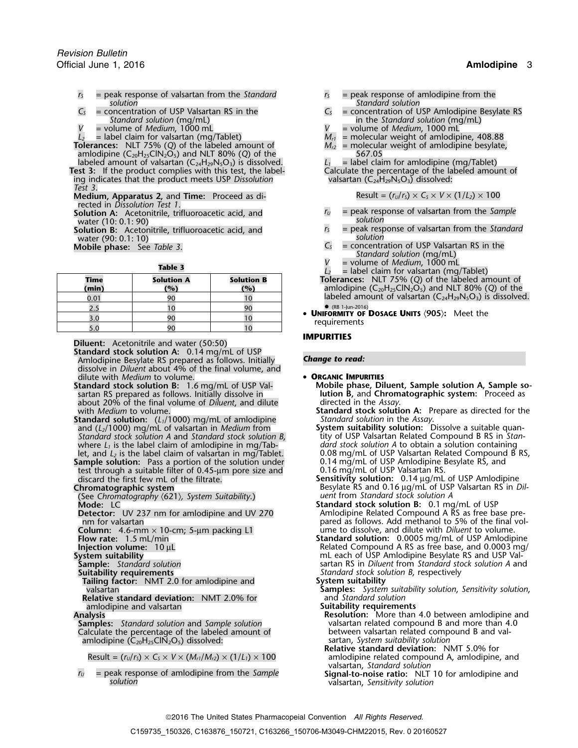- *<sup>r</sup><sup>S</sup>* = peak response of valsartan from the *Standard <sup>r</sup><sup>S</sup>* = peak response of amlodipine from the
- *V* = volume of *Medium*, 1000 mL<br> *V* = volume of *Medium*, 1000 mL<br> *V* = label claim for valsartan (mg/Tablet) *M<sub>rl</sub>*
- 

- **Tolerances:** NLT 75% (*Q*) of the labeled amount of *Mr2* = molecular weight of amlodipine besylate, amlodipine (C<sub>20</sub>H<sub>25</sub>ClN<sub>2</sub>O<sub>5</sub>) and NLT 80% (Q) of the  $\hskip 1.5cm -\hskip 1.5cm -\hskip 1.5cm -\hskip 1.5cm 567.05$
- labeled amount of valsartan  $(C_{24}H_{29}N_5O_3)$  is dissolved. <br>**L**<sub>1</sub> = label claim for amlodipine (mg/Tablet)<br>**calculate the percentage of the labeled amount of**<br>**Calculate the percentage of the labeled amount of Test 3:** If the product complies with this test, the label-<br>
ing indicates that the product meets USP *Dissolution*<br>
valsartan  $(C_{24}H_{29}N_5O_3)$  dissolved:
- ing indicates that the product meets USP Dissolution *Test 3*.

**Medium, Apparatus 2, and Time:** Proceed as directed in *Dissolution Test 1*.

water (10: 0.1: 90)<br> **Solution B:** Acetonitrile, trifluoroacetic acid, and *r<sub>s</sub>* = peak response of valsartan from the Standard

**Solution B:** Acetonitrile, trifluoroacetic acid, and *r<sub>S</sub>* = peak response of value of value  $r_s$  solution water (90: 0.1: 10)  $C_5$ <br> **Mobile phase:** See Table 3.

| $=$ label claim for vaisarian (my/habier)                                                               |                          |                          |                      |
|---------------------------------------------------------------------------------------------------------|--------------------------|--------------------------|----------------------|
| <b>Tolerances:</b> NLT 75% (Q) of the labeled are<br>amlodipine ( $C_{20}H_{25}CN_2O_5$ ) and NLT 80% ( | <b>Solution B</b><br>(%) | <b>Solution A</b><br>(%) | <b>Time</b><br>(min) |
| labeled amount of valsartan ( $C_{24}H_{29}N_5O_3$ ) is                                                 |                          |                          | 0.01                 |
| $(RB 1-lun-2016)$                                                                                       |                          |                          |                      |
| • UNIFORMITY OF DOSAGE UNITS (905): Meet the<br>requirements                                            |                          |                          | 3.0                  |
|                                                                                                         |                          | 90                       | 5.0                  |

**Diluent:** Acetonitrile and water (50:50) **IMPURITIES** 

**Standard stock solution A:** 0.14 mg/mL of USP Amlodipine Besylate RS prepared as follows. Initially *Change to read:* dissolve in *Diluent* about 4% of the final volume, and dilute with *Medium* to volume. • **ORGANIC IMPURITIES**

- sartan RS prepared as follows. Initially dissolve in **lution B,** and **Chrom**<br>about 20% of the final volume of *Diluent*, and dilute directed in the Assay about 20% of the final volume of *Diluent*, and dilute with *Medium* to volume.
- **Standard solution:** (*L*<sub>1</sub>/1000) mg/mL of amlodipine *Standard solution* in the *Assay*.<br> **System suitability solution:** Dissolve a suitable quan-<br> **System suitability solution:** Dissolve a suitable quanand (*L2*/1000) mg/mL of valsartan in *Medium* from **System suitability solution:** Dissolve a suitable quan-*Standard stock solution A and Standard stock solution B,* where *L1* is the label claim of amlodipine in mg/Tab- *dard stock solution A* to obtain a solution containing

let, and L<sub>2</sub> is the label claim of valsartan in mg/Tablet. **1.14 mg/mL of USP Valsartan Rel**<br>**Sample solution:** Pass a portion of the solution under 10.14 mg/mL of USP Amlodipine if test through a suitable filter of 0.45test through a suitable filter of 0.45-µm pore size and discard the first few mL of the filtrate. discard the first few mL of the filtrate. **Sensitivity solution:** 0.14 µg/mL of USP Amlodipine

(See *Chromatography* 〈621〉*, System Suitability*.) *uent* from *Standard stock solution A*

**Tailing factor:** NMT 2.0 for amlodipine and valsartan

**Relative standard deviation: NMT 2.0% for** amlodipine and valsartan **Suitability requirements**

**Samples:** *Standard solution* and *Sample solution* valsartan related compound B and more than 4.<br>Calculate the percentage of the labeled amount of between valsartan related compound B and val-Calculate the percentage of the labeled amount of between valsartan related compound between value of an original b<br>
amlodipine (C<sub>20</sub>H<sub>25</sub>CIN<sub>2</sub>O<sub>5</sub>) dissolved: amlodipine (C<sub>20</sub>H<sub>25</sub>ClN<sub>2</sub>O<sub>5</sub>) dissolved:

*<sup>r</sup><sup>U</sup>* = peak response of amlodipine from the *Sample* **Signal-to-noise ratio:** NLT 10 for amlodipine and *solution* valsartan, *Sensitivity solution*

- *solution Standard solution*
- $C_5$  = concentration of USP Valsartan RS in the  $C_5$  = concentration of USP Amlodipine Besylate RS in the *Standard solution* (mg/mL) = volume of *Medium*, 1000 mL
	-
	- $M_{r1}$  = molecular weight of amlodipine, 408.88  $M_{r2}$  = molecular weight of amlodipine besylate,
	-

$$
Result = (rU/rS) \times CS \times V \times (1/L2) \times 100
$$

- **Solution A:** Acetonitrile, trifluoroacetic acid, and *r<sub>U</sub>* = peak response of valsartan from the *Sample*<br>
vater (10: 0.1: 90)
	-
	- $=$  concentration of USP Valsartan RS in the
	- *Standard solution* (mg/mL)
	- **Table 3 L**<sub>2</sub> = volume of *Medium*, 1000 mL<br> $L_2$  = label claim for valsartan (mg/Tablet)
	- **Time Solution A Solution B Tolerances:** NLT 75% (*Q*) of the labeled amount of **(min) (%) (%) (%) (%) amlodipine (C<sub>20</sub>H<sub>25</sub>ClN<sub>2</sub>O<sub>5</sub>) and NLT 80% (***Q***) of the** labeled amount of valsartan  $(C_{24}H_{29}N_5O_3)$  is dissolved.
		-

- **Standard stock solution B:** 1.6 mg/mL of USP Val-<br> **Mobile phase, Diluent, Sample solution A, Sample so-**<br> **Iution B,** and Chromatographic system: Proceed as<br> **Iution B,** and Chromatographic system: Proceed as
	- **Standard stock solution A:** Prepare as directed for the Standard solution in the Assay.
	- let, and *L2* is the label claim of valsartan in mg/Tablet. 0.08 mg/mL of USP Valsartan Related Compound B RS,
- **Chromatographic system** Besylate RS and 0.16 µg/mL of USP Valsartan RS in *Dil-*
- **Mode:** LC<br>**Mode:** LC **Standard stock solution B:** 0.1 mg/mL of USP<br>**Detector:** UV 237 nm for amlodipine and UV 270 **Amlodipine Related Compound A RS** as free ba **Detector:** UV 237 nm for amlodipine and UV 270 Amlodipine Related Compound A RS as free base pre-<br>Amlodipine Related Compound A RS as free base pre-<br>pared as follows. Add methanol to 5% of the final vol pared as follows. Add methanol to 5% of the final vol-
- **Column:** 4.6-mm × 10-cm; 5-µm packing L1 ume to dissolve, and dilute with *Diluent* to volume.<br> **Standard solution:** 0.0005 mg/mL of USP Amlodip **Flow rate:** 1.5 mL/min **Standard solution:** 0.0005 mg/mL of USP Amlodipine **Injection volume:** 10 µL **Related Compound A RS** as free base, and 0.0003 mg/ **System suitability**<br> **Sample:** Standard solution **Standard Solution** Sample: Standard solution A and **Sample:** Standard solution A and **Sample:** Standard solution A and **Standard** Solution A and **Standard** Solution A and **Sample:** *Standard solution* sartan RS in *Diluent* from *Standard stock solution A* and **Standard Stock solution** A and **Standard stock solution B** respectively Standard stock solution B, respectively System suitability
	-
	- **Samples:** *System suitability solution, Sensitivity solution, and Standard solution*

Analysis<br>**Analysis Resolution:** More than 4.0 between amlodipine and<br>**Samples:** Standard solution and Sample solution **Resolution:** valsartan related compound B and more than 4.0

- 
- **Relative standard deviation:** NMT 5.0% for Result =  $(r<sub>U</sub>/r<sub>S</sub>) \times C<sub>S</sub> \times V \times (M<sub>r1</sub>/M<sub>r2</sub>) \times (1/L<sub>1</sub>) \times 100$  amlodipine related compound A, amlodipine, and valsartan, *Standard solution*